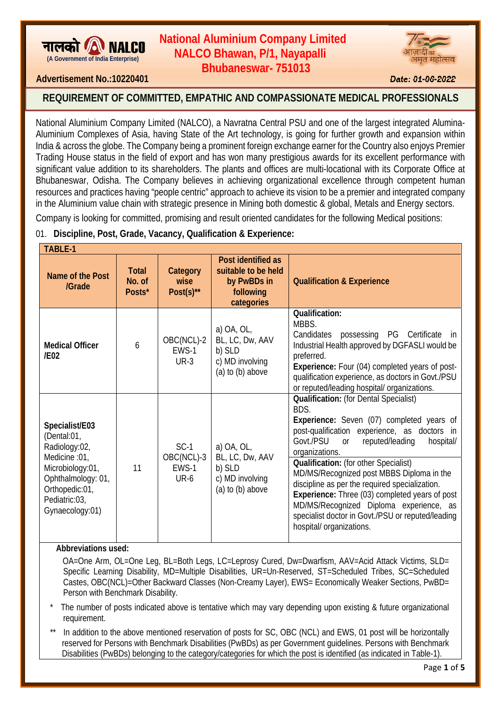

## **(A Government of India Enterprise) NALCO Bhawan, P/1, Nayapalli NALCO Bhawan, P/1, Nayapalli Bhubaneswar- 751013 Bhubaneswar- 751013 National Aluminium Company Limited**



## **Advertisement No.:10220401 Date: 01-06-2022**

# REQUIREMENT OF COMMITTED, EMPATHIC AND COMPASSIONATE MEDICAL PROFESSIONALS

National Aluminium Company Limited (NALCO), a Navratna Central PSU and one of the largest integrated Alumina-Aluminium Complexes of Asia, having State of the Art technology, is going for further growth and expansion within India & across the globe. The Company being a prominent foreign exchange earner for the Country also enjoys Premier Trading House status in the field of export and has won many prestigious awards for its excellent performance with significant value addition to its shareholders. The plants and offices are multi-locational with its Corporate Office at Bhubaneswar, Odisha. The Company believes in achieving organizational excellence through competent human resources and practices having "people centric" approach to achieve its vision to be a premier and integrated company in the Aluminium value chain with strategic presence in Mining both domestic & global, Metals and Energy sectors.

Company is looking for committed, promising and result oriented candidates for the following Medical positions:

## 01. **Discipline, Post, Grade, Vacancy, Qualification & Experience:**

| <b>TABLE-1</b>                                                                                                                                                  |                                  |                                       |                                                                                     |                                                                                                                                                                                                                                                                                                                                                                                                                                                                                                                                               |  |  |
|-----------------------------------------------------------------------------------------------------------------------------------------------------------------|----------------------------------|---------------------------------------|-------------------------------------------------------------------------------------|-----------------------------------------------------------------------------------------------------------------------------------------------------------------------------------------------------------------------------------------------------------------------------------------------------------------------------------------------------------------------------------------------------------------------------------------------------------------------------------------------------------------------------------------------|--|--|
| Name of the Post<br>/Grade                                                                                                                                      | <b>Total</b><br>No. of<br>Posts* | Category<br>wise<br>$Post(s)$ **      | Post identified as<br>suitable to be held<br>by PwBDs in<br>following<br>categories | <b>Qualification &amp; Experience</b>                                                                                                                                                                                                                                                                                                                                                                                                                                                                                                         |  |  |
| <b>Medical Officer</b><br>/FO2                                                                                                                                  | 6                                | OBC(NCL)-2<br>EWS-1<br>$UR-3$         | a) $OA, OL$<br>BL, LC, Dw, AAV<br>b) SLD<br>c) MD involving<br>$(a)$ to $(b)$ above | <b>Qualification:</b><br>MBBS.<br>possessing PG Certificate<br>Candidates<br>in in<br>Industrial Health approved by DGFASLI would be<br>preferred.<br>Experience: Four (04) completed years of post-<br>qualification experience, as doctors in Govt./PSU<br>or reputed/leading hospital/ organizations.                                                                                                                                                                                                                                      |  |  |
| Specialist/E03<br>(Dental:01,<br>Radiology:02,<br>Medicine :01,<br>Microbiology:01,<br>Ophthalmology: 01,<br>Orthopedic:01,<br>Pediatric:03,<br>Gynaecology:01) | 11                               | $SC-1$<br>OBC(NCL)-3<br>EWS-1<br>UR-6 | a) OA, OL,<br>BL, LC, Dw, AAV<br>b) SLD<br>c) MD involving<br>$(a)$ to $(b)$ above  | <b>Qualification:</b> (for Dental Specialist)<br>BDS.<br>Experience: Seven (07) completed years of<br>post-qualification experience, as doctors in<br>Govt./PSU<br>reputed/leading<br>hospital/<br>or<br>organizations.<br>Qualification: (for other Specialist)<br>MD/MS/Recognized post MBBS Diploma in the<br>discipline as per the required specialization.<br>Experience: Three (03) completed years of post<br>MD/MS/Recognized Diploma experience, as<br>specialist doctor in Govt./PSU or reputed/leading<br>hospital/ organizations. |  |  |

## **Abbreviations used:**

 OA=One Arm, OL=One Leg, BL=Both Legs, LC=Leprosy Cured, Dw=Dwarfism, AAV=Acid Attack Victims, SLD= Specific Learning Disability, MD=Multiple Disabilities, UR=Un-Reserved, ST=Scheduled Tribes, SC=Scheduled Castes, OBC(NCL)=Other Backward Classes (Non-Creamy Layer), EWS= Economically Weaker Sections, PwBD= Person with Benchmark Disability.

The number of posts indicated above is tentative which may vary depending upon existing & future organizational requirement.

In addition to the above mentioned reservation of posts for SC, OBC (NCL) and EWS, 01 post will be horizontally reserved for Persons with Benchmark Disabilities (PwBDs) as per Government guidelines. Persons with Benchmark Disabilities (PwBDs) belonging to the category/categories for which the post is identified (as indicated in Table-1).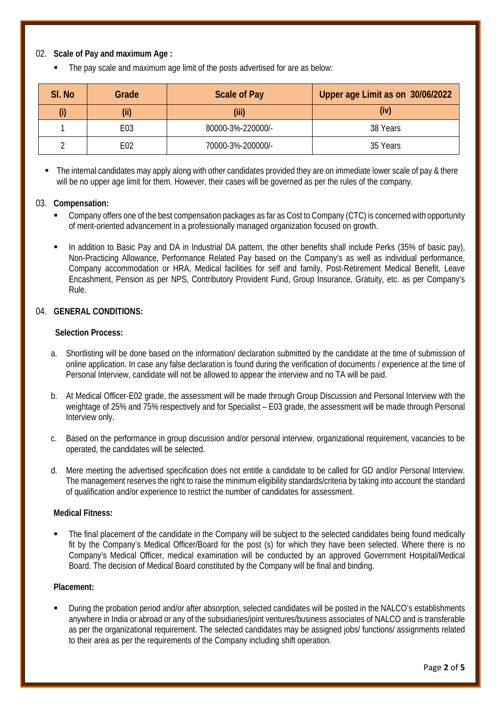## 02. **Scale of Pay and maximum Age :**

The pay scale and maximum age limit of the posts advertised for are as below:

| SI. No | Grade | <b>Scale of Pay</b> | Upper age Limit as on 30/06/2022 |
|--------|-------|---------------------|----------------------------------|
| (i)    | (iii) | (iii)               | (iv)                             |
|        | E03   | 80000-3%-220000/-   | 38 Years                         |
|        | E02   | 70000-3%-200000/-   | 35 Years                         |

The internal candidates may apply along with other candidates provided they are on immediate lower scale of pay & there will be no upper age limit for them. However, their cases will be governed as per the rules of the company.

#### 03. **Compensation:**

- Company offers one of the best compensation packages as far as Cost to Company (CTC) is concerned with opportunity of merit-oriented advancement in a professionally managed organization focused on growth.
- In addition to Basic Pay and DA in Industrial DA pattern, the other benefits shall include Perks (35% of basic pay), Non-Practicing Allowance, Performance Related Pay based on the Company's as well as individual performance, Company accommodation or HRA, Medical facilities for self and family, Post-Retirement Medical Benefit, Leave Encashment, Pension as per NPS, Contributory Provident Fund, Group Insurance, Gratuity, etc. as per Company's Rule.

#### 04. **GENERAL CONDITIONS:**

#### **Selection Process:**

- a. Shortlisting will be done based on the information/ declaration submitted by the candidate at the time of submission of online application. In case any false declaration is found during the verification of documents / experience at the time of Personal Interview, candidate will not be allowed to appear the interview and no TA will be paid.
- b. At Medical Officer-E02 grade, the assessment will be made through Group Discussion and Personal Interview with the weightage of 25% and 75% respectively and for Specialist – E03 grade, the assessment will be made through Personal Interview only.
- c. Based on the performance in group discussion and/or personal interview, organizational requirement, vacancies to be operated, the candidates will be selected.
- d. Mere meeting the advertised specification does not entitle a candidate to be called for GD and/or Personal Interview. The management reserves the right to raise the minimum eligibility standards/criteria by taking into account the standard of qualification and/or experience to restrict the number of candidates for assessment.

#### **Medical Fitness:**

 The final placement of the candidate in the Company will be subject to the selected candidates being found medically fit by the Company's Medical Officer/Board for the post (s) for which they have been selected. Where there is no Company's Medical Officer, medical examination will be conducted by an approved Government Hospital/Medical Board. The decision of Medical Board constituted by the Company will be final and binding.

#### **Placement:**

 During the probation period and/or after absorption, selected candidates will be posted in the NALCO's establishments anywhere in India or abroad or any of the subsidiaries/joint ventures/business associates of NALCO and is transferable as per the organizational requirement. The selected candidates may be assigned jobs/ functions/ assignments related to their area as per the requirements of the Company including shift operation.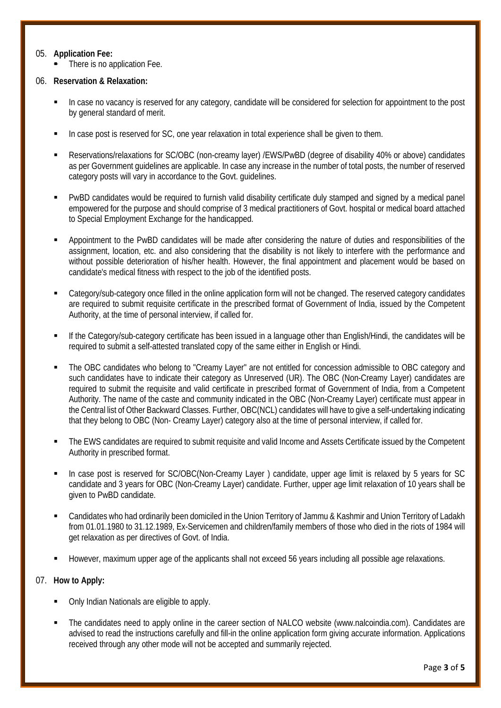#### 05. **Application Fee:**

**There is no application Fee.** 

## 06. **Reservation & Relaxation:**

- In case no vacancy is reserved for any category, candidate will be considered for selection for appointment to the post by general standard of merit.
- In case post is reserved for SC, one year relaxation in total experience shall be given to them.
- Reservations/relaxations for SC/OBC (non-creamy layer) /EWS/PwBD (degree of disability 40% or above) candidates as per Government guidelines are applicable. In case any increase in the number of total posts, the number of reserved category posts will vary in accordance to the Govt. guidelines.
- PwBD candidates would be required to furnish valid disability certificate duly stamped and signed by a medical panel empowered for the purpose and should comprise of 3 medical practitioners of Govt. hospital or medical board attached to Special Employment Exchange for the handicapped.
- Appointment to the PwBD candidates will be made after considering the nature of duties and responsibilities of the assignment, location, etc. and also considering that the disability is not likely to interfere with the performance and without possible deterioration of his/her health. However, the final appointment and placement would be based on candidate's medical fitness with respect to the job of the identified posts.
- Category/sub-category once filled in the online application form will not be changed. The reserved category candidates are required to submit requisite certificate in the prescribed format of Government of India, issued by the Competent Authority, at the time of personal interview, if called for.
- If the Category/sub-category certificate has been issued in a language other than English/Hindi, the candidates will be required to submit a self-attested translated copy of the same either in English or Hindi.
- The OBC candidates who belong to "Creamy Layer" are not entitled for concession admissible to OBC category and such candidates have to indicate their category as Unreserved (UR). The OBC (Non-Creamy Layer) candidates are required to submit the requisite and valid certificate in prescribed format of Government of India, from a Competent Authority. The name of the caste and community indicated in the OBC (Non-Creamy Layer) certificate must appear in the Central list of Other Backward Classes. Further, OBC(NCL) candidates will have to give a self-undertaking indicating that they belong to OBC (Non- Creamy Layer) category also at the time of personal interview, if called for.
- The EWS candidates are required to submit requisite and valid Income and Assets Certificate issued by the Competent Authority in prescribed format.
- In case post is reserved for SC/OBC(Non-Creamy Layer ) candidate, upper age limit is relaxed by 5 years for SC candidate and 3 years for OBC (Non-Creamy Layer) candidate. Further, upper age limit relaxation of 10 years shall be given to PwBD candidate.
- Candidates who had ordinarily been domiciled in the Union Territory of Jammu & Kashmir and Union Territory of Ladakh from 01.01.1980 to 31.12.1989, Ex-Servicemen and children/family members of those who died in the riots of 1984 will get relaxation as per directives of Govt. of India.
- However, maximum upper age of the applicants shall not exceed 56 years including all possible age relaxations.

## 07. **How to Apply:**

- Only Indian Nationals are eligible to apply.
- The candidates need to apply online in the career section of NALCO website (www.nalcoindia.com). Candidates are advised to read the instructions carefully and fill-in the online application form giving accurate information. Applications received through any other mode will not be accepted and summarily rejected.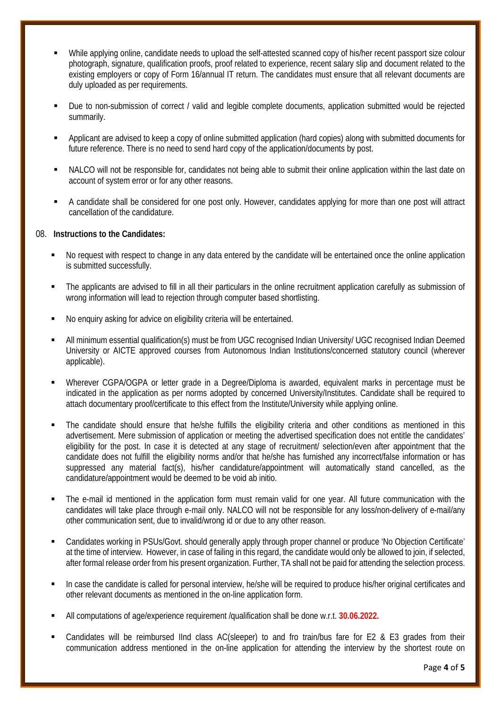- While applying online, candidate needs to upload the self-attested scanned copy of his/her recent passport size colour photograph, signature, qualification proofs, proof related to experience, recent salary slip and document related to the existing employers or copy of Form 16/annual IT return. The candidates must ensure that all relevant documents are duly uploaded as per requirements.
- Due to non-submission of correct / valid and legible complete documents, application submitted would be rejected summarily.
- Applicant are advised to keep a copy of online submitted application (hard copies) along with submitted documents for future reference. There is no need to send hard copy of the application/documents by post.
- NALCO will not be responsible for, candidates not being able to submit their online application within the last date on account of system error or for any other reasons.
- A candidate shall be considered for one post only. However, candidates applying for more than one post will attract cancellation of the candidature.

#### 08. **Instructions to the Candidates:**

- No request with respect to change in any data entered by the candidate will be entertained once the online application is submitted successfully.
- The applicants are advised to fill in all their particulars in the online recruitment application carefully as submission of wrong information will lead to rejection through computer based shortlisting.
- No enquiry asking for advice on eligibility criteria will be entertained.
- All minimum essential qualification(s) must be from UGC recognised Indian University/ UGC recognised Indian Deemed University or AICTE approved courses from Autonomous Indian Institutions/concerned statutory council (wherever applicable).
- Wherever CGPA/OGPA or letter grade in a Degree/Diploma is awarded, equivalent marks in percentage must be indicated in the application as per norms adopted by concerned University/Institutes. Candidate shall be required to attach documentary proof/certificate to this effect from the Institute/University while applying online.
- The candidate should ensure that he/she fulfills the eligibility criteria and other conditions as mentioned in this advertisement. Mere submission of application or meeting the advertised specification does not entitle the candidates' eligibility for the post. In case it is detected at any stage of recruitment/ selection/even after appointment that the candidate does not fulfill the eligibility norms and/or that he/she has furnished any incorrect/false information or has suppressed any material fact(s), his/her candidature/appointment will automatically stand cancelled, as the candidature/appointment would be deemed to be void ab initio.
- The e-mail id mentioned in the application form must remain valid for one year. All future communication with the candidates will take place through e-mail only. NALCO will not be responsible for any loss/non-delivery of e-mail/any other communication sent, due to invalid/wrong id or due to any other reason.
- Candidates working in PSUs/Govt. should generally apply through proper channel or produce 'No Objection Certificate' at the time of interview. However, in case of failing in this regard, the candidate would only be allowed to join, if selected, after formal release order from his present organization. Further, TA shall not be paid for attending the selection process.
- In case the candidate is called for personal interview, he/she will be required to produce his/her original certificates and other relevant documents as mentioned in the on-line application form.
- All computations of age/experience requirement /qualification shall be done w.r.t. **30.06.2022.**
- Candidates will be reimbursed IInd class AC(sleeper) to and fro train/bus fare for E2 & E3 grades from their communication address mentioned in the on-line application for attending the interview by the shortest route on